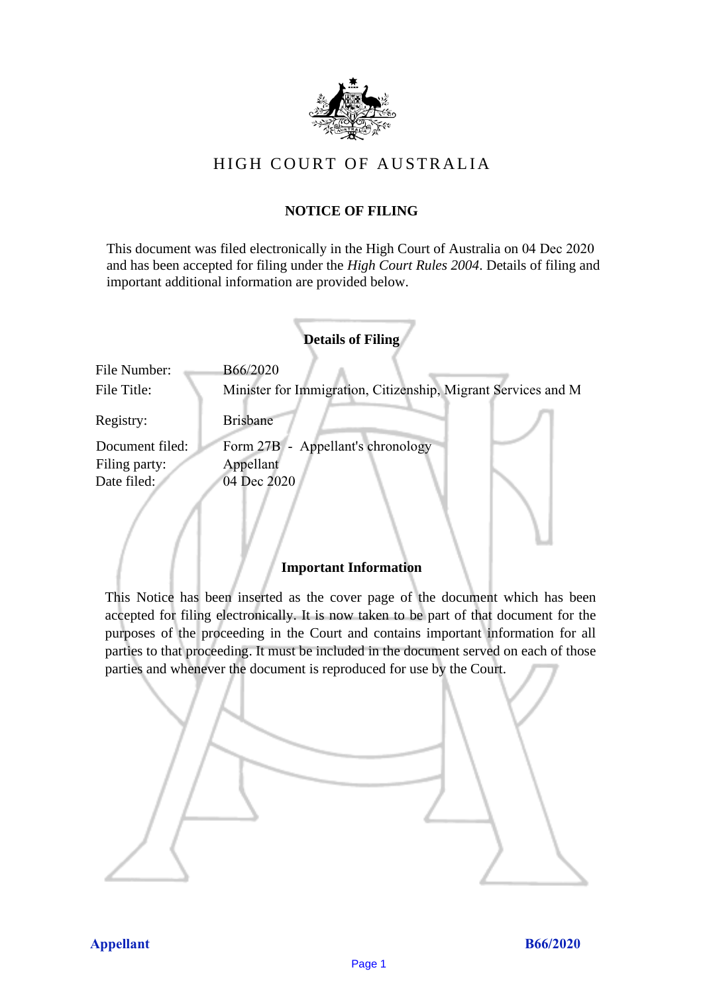

## HIGH COURT OF AU STRALIA HIGH COURT OF AUSTRALIA

### **NOTICE OF FILING** NOTICE OF FILING

This document was filed electronically in the High Court of Australia on 04 Dec 2020 This document was filed electronically in the High Court of Australia <sup>20</sup> and has been accepted for filing under the *High Court Rules 2004*. Details of filing and important additional information are provided below. important additional information are provided below.

|                 | <b>Details of Filing</b>                                      |
|-----------------|---------------------------------------------------------------|
| File Number:    | B66/2020                                                      |
| File Title:     | Minister for Immigration, Citizenship, Migrant Services and M |
| Registry:       | <b>Brisbane</b>                                               |
| Document filed: | Form 27B - Appellant's chronology                             |
| Filing party:   | Appellant                                                     |
| Date filed:     | 04 Dec 2020                                                   |
|                 |                                                               |

### **Important Information** Important Information

This Notice has been inserted as the cover page of the document which has been accepted for filing electronically. It is now taken to be part of that document for the purposes of the proceeding in the Court and contains important information for all parties to that proceeding. It must be included in the document served on each of those parties and whenever the document is reproduced for use by the Court. parties and whenever the document is reproduced for use by the Court

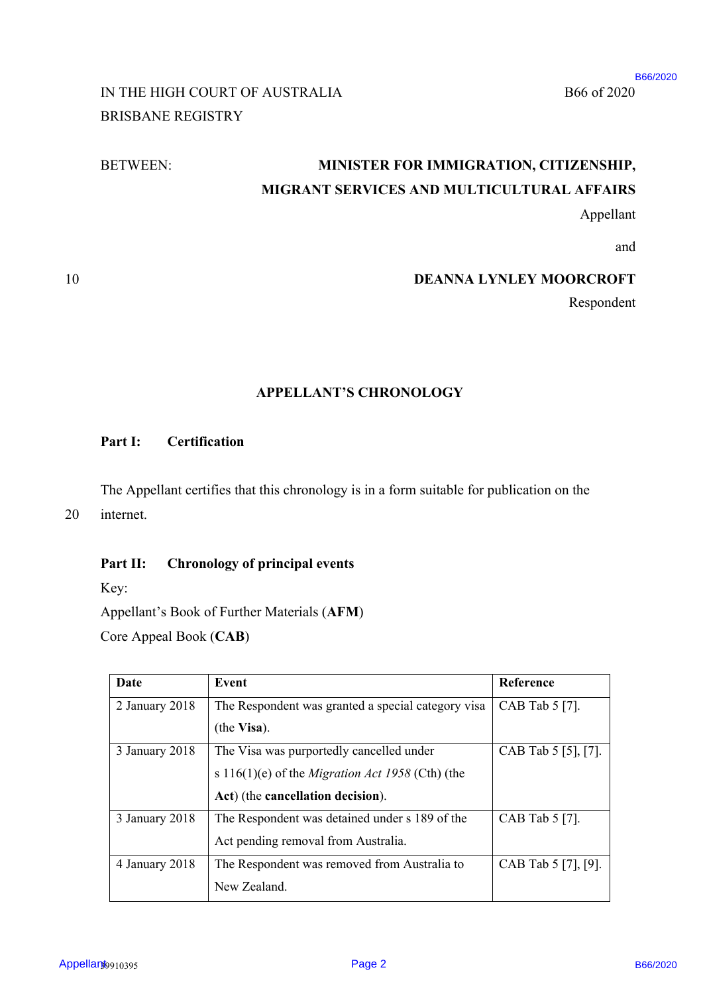#### B66 of 2020 B66/2020

## IN THE HIGH COURT OF AUSTRALIA B66 of 2020 BRISBANE REGISTRY BRISBANE REGISTRY

### BETWEEN:

# BETWEEN: **MINISTER FOR IMMIGRATION, CITIZENSHIP,**  MINISTER FOR IMMIGRATION, CITIZENSHIP, **MIGRANT SERVICES AND MULTICULTURAL AFFAIRS**  MIGRANT SERVICES AND MULTICULTURAL AFFAIRS

### 10 **DEANNA LYNLEY MOORCROFT**  DEANNA LYNLEY MOORCROFT

### **APPELLANT'S CHRONOLOGY**  APPELLANT'S CHRONOLOGY

#### **Part I: Certification**  Part I: Certification

### Part II: Chronology of principal events

| B66 of 2020                    | IN THE HIGH COURT OF AUSTRALIA                                                                                             | <b>BRISBANE REGISTRY</b> |  |  |
|--------------------------------|----------------------------------------------------------------------------------------------------------------------------|--------------------------|--|--|
|                                | MINISTER FOR IMMIGRATION, CITIZENSHIP,                                                                                     | <b>BETWEEN:</b>          |  |  |
|                                | MIGRANT SERVICES AND MULTICULTURAL AFFAIRS                                                                                 |                          |  |  |
| Appellant                      |                                                                                                                            |                          |  |  |
| and                            |                                                                                                                            |                          |  |  |
| <b>DEANNA LYNLEY MOORCROFT</b> |                                                                                                                            |                          |  |  |
| Respondent                     |                                                                                                                            |                          |  |  |
|                                | <b>APPELLANT'S CHRONOLOGY</b>                                                                                              |                          |  |  |
|                                |                                                                                                                            | Part I:                  |  |  |
|                                | Certification                                                                                                              |                          |  |  |
|                                | The Appellant certifies that this chronology is in a form suitable for publication on the                                  | internet.                |  |  |
|                                | <b>Chronology of principal events</b>                                                                                      | Part II:<br>Key:         |  |  |
|                                | Appellant's Book of Further Materials (AFM)                                                                                |                          |  |  |
|                                |                                                                                                                            | Core Appeal Book (CAB)   |  |  |
| Reference                      | <b>Event</b>                                                                                                               | <b>Date</b>              |  |  |
| CAB Tab 5 [7].                 | The Respondent was granted a special category visa<br>(the Visa).                                                          | 2 January 2018           |  |  |
| CAB Tab 5 [5], [7].            | The Visa was purportedly cancelled under<br>s 116(1)(e) of the Migration Act 1958 (Cth) (the                               | 3 January 2018           |  |  |
| CAB Tab 5 [7].                 | Act) (the cancellation decision).<br>The Respondent was detained under s 189 of the<br>Act pending removal from Australia. | 3 January 2018           |  |  |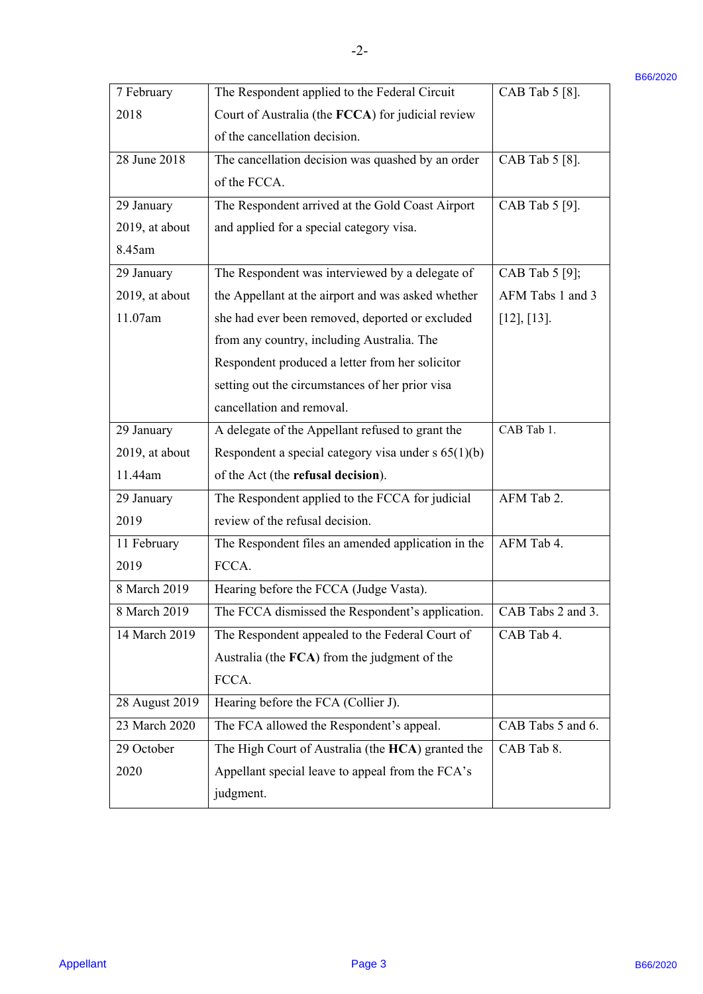| 7 February     | The Respondent applied to the Federal Circuit         | CAB Tab 5 [8].    |
|----------------|-------------------------------------------------------|-------------------|
| 2018           | Court of Australia (the FCCA) for judicial review     |                   |
|                | of the cancellation decision.                         |                   |
| 28 June 2018   | The cancellation decision was quashed by an order     | CAB Tab 5 [8].    |
|                | of the FCCA.                                          |                   |
| 29 January     | The Respondent arrived at the Gold Coast Airport      | CAB Tab 5 [9].    |
| 2019, at about | and applied for a special category visa.              |                   |
| 8.45am         |                                                       |                   |
| 29 January     | The Respondent was interviewed by a delegate of       | CAB Tab 5 [9];    |
| 2019, at about | the Appellant at the airport and was asked whether    | AFM Tabs 1 and 3  |
| 11.07am        | she had ever been removed, deported or excluded       | $[12]$ , $[13]$ . |
|                | from any country, including Australia. The            |                   |
|                | Respondent produced a letter from her solicitor       |                   |
|                | setting out the circumstances of her prior visa       |                   |
|                | cancellation and removal.                             |                   |
| 29 January     | A delegate of the Appellant refused to grant the      | CAB Tab 1.        |
| 2019, at about | Respondent a special category visa under $s$ 65(1)(b) |                   |
| 11.44am        | of the Act (the refusal decision).                    |                   |
| 29 January     | The Respondent applied to the FCCA for judicial       | AFM Tab 2.        |
| 2019           | review of the refusal decision.                       |                   |
| 11 February    | The Respondent files an amended application in the    | AFM Tab 4.        |
| 2019           | FCCA.                                                 |                   |
| 8 March 2019   | Hearing before the FCCA (Judge Vasta).                |                   |
| 8 March 2019   | The FCCA dismissed the Respondent's application.      | CAB Tabs 2 and 3. |
| 14 March 2019  | The Respondent appealed to the Federal Court of       | CAB Tab 4.        |
|                | Australia (the FCA) from the judgment of the          |                   |
|                | FCCA.                                                 |                   |
| 28 August 2019 | Hearing before the FCA (Collier J).                   |                   |
| 23 March 2020  | The FCA allowed the Respondent's appeal.              | CAB Tabs 5 and 6. |
| 29 October     | The High Court of Australia (the HCA) granted the     | CAB Tab 8.        |
| 2020           | Appellant special leave to appeal from the FCA's      |                   |
|                | judgment.                                             |                   |